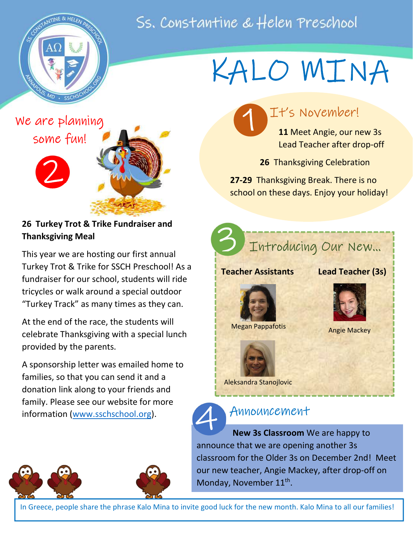# Ss. Constantine & Helen Preschool



# KALO MINA

We are planning some fun!



26 Turkey Trot & Trike Fundraiser and Thanksgiving Meal

This year we are hosting our first annual Turkey Trot & Trike for SSCH Preschool! As a fundraiser for our school, students will ride tricycles or walk around a special outdoor "Turkey Track" as many times as they can.

At the end of the race, the students will celebrate Thanksgiving with a special lunch provided by the parents.

A sponsorship letter was emailed home to families, so that you can send it and a donation link along to your friends and family. Please see our website for more information (www.sschschool.org).



11 Meet Angie, our new 3s Lead Teacher after drop-off

26 Thanksgiving Celebration

27-29 Thanksgiving Break. There is no school on these days. Enjoy your holiday!



## Announcement

 New 3s Classroom We are happy to announce that we are opening another 3s classroom for the Older 3s on December 2nd! Meet our new teacher, Angie Mackey, after drop-off on Monday, November 11<sup>th</sup>. 4 A



In Greece, people share the phrase Kalo Mina to invite good luck for the new month. Kalo Mina to all our families!